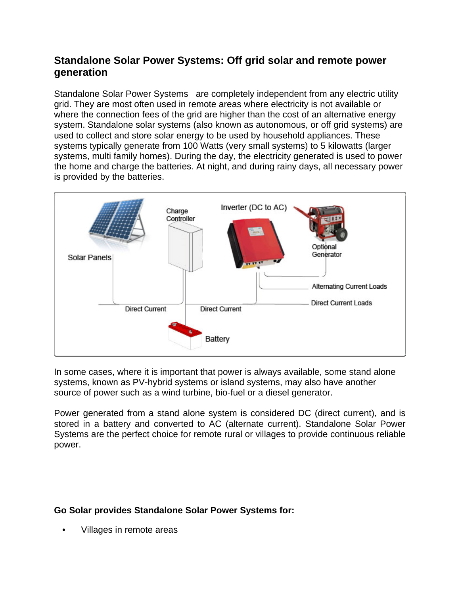# **Standalone Solar Power Systems: Off grid solar and remote power generation**

Standalone Solar Power Systems are completely independent from any electric utility grid. They are most often used in remote areas where electricity is not available or where the connection fees of the grid are higher than the cost of an alternative energy system. Standalone solar systems (also known as autonomous, or off grid systems) are used to collect and store solar energy to be used by household appliances. These systems typically generate from 100 Watts (very small systems) to 5 kilowatts (larger systems, multi family homes). During the day, the electricity generated is used to power the home and charge the batteries. At night, and during rainy days, all necessary power is provided by the batteries.



In some cases, where it is important that power is always available, some stand alone systems, known as PV-hybrid systems or island systems, may also have another source of power such as a wind turbine, bio-fuel or a diesel generator.

Power generated from a stand alone system is considered DC (direct current), and is stored in a battery and converted to AC (alternate current). Standalone Solar Power Systems are the perfect choice for remote rural or villages to provide continuous reliable power.

#### **Go Solar provides Standalone Solar Power Systems for:**

• Villages in remote areas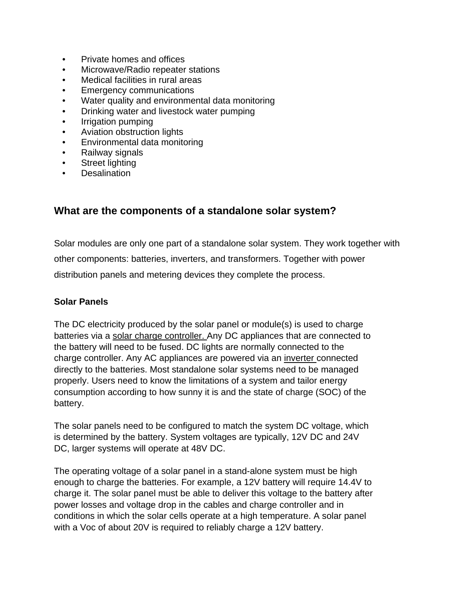- Private homes and offices
- Microwave/Radio repeater stations
- Medical facilities in rural areas
- Emergency communications
- Water quality and environmental data monitoring
- Drinking water and livestock water pumping
- Irrigation pumping
- Aviation obstruction lights
- Environmental data monitoring
- Railway signals
- Street lighting
- **Desalination**

## **What are the components of a standalone solar system?**

Solar modules are only one part of a standalone solar system. They work together with other components: batteries, inverters, and transformers. Together with power distribution panels and metering devices they complete the process.

#### **Solar Panels**

The DC electricity produced by the solar panel or module(s) is used to charge batteries via a [solar charge controller.](http://www.wirefreedirect.com/Solar-Controllers-Regulators.asp) Any DC appliances that are connected to the battery will need to be fused. DC lights are normally connected to the charge controller. Any AC appliances are powered via an [inverter c](http://www.wirefreedirect.com/inverters.asp)onnected directly to the batteries. Most standalone solar systems need to be managed properly. Users need to know the limitations of a system and tailor energy consumption according to how sunny it is and the state of charge (SOC) of the battery.

The solar panels need to be configured to match the system DC voltage, which is determined by the battery. System voltages are typically, 12V DC and 24V DC, larger systems will operate at 48V DC.

The operating voltage of a solar panel in a stand-alone system must be high enough to charge the batteries. For example, a 12V battery will require 14.4V to charge it. The solar panel must be able to deliver this voltage to the battery after power losses and voltage drop in the cables and charge controller and in conditions in which the solar cells operate at a high temperature. A solar panel with a Voc of about 20V is required to reliably charge a 12V battery.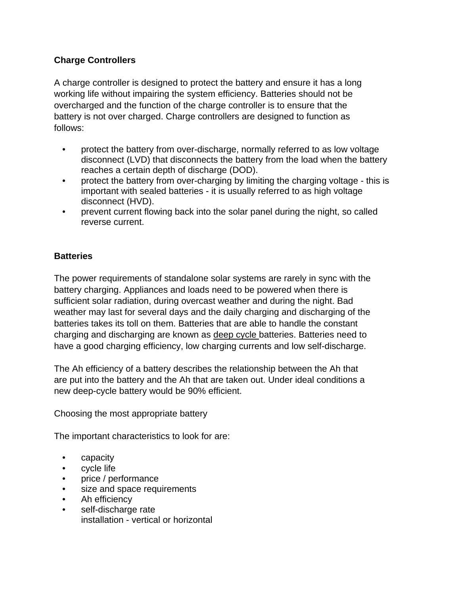### **Charge Controllers**

A charge controller is designed to protect the battery and ensure it has a long working life without impairing the system efficiency. Batteries should not be overcharged and the function of the charge controller is to ensure that the battery is not over charged. Charge controllers are designed to function as follows:

- protect the battery from over-discharge, normally referred to as low voltage disconnect (LVD) that disconnects the battery from the load when the battery reaches a certain depth of discharge (DOD).
- protect the battery from over-charging by limiting the charging voltage this is important with sealed batteries - it is usually referred to as high voltage disconnect (HVD).
- prevent current flowing back into the solar panel during the night, so called reverse current.

### **Batteries**

The power requirements of standalone solar systems are rarely in sync with the battery charging. Appliances and loads need to be powered when there is sufficient solar radiation, during overcast weather and during the night. Bad weather may last for several days and the daily charging and discharging of the batteries takes its toll on them. Batteries that are able to handle the constant charging and discharging are known as [deep cycle b](http://www.wirefreedirect.com/solar_batteries_agm_and_gel.asp)atteries. Batteries need to have a good charging efficiency, low charging currents and low self-discharge.

The Ah efficiency of a battery describes the relationship between the Ah that are put into the battery and the Ah that are taken out. Under ideal conditions a new deep-cycle battery would be 90% efficient.

Choosing the most appropriate battery

The important characteristics to look for are:

- capacity
- cycle life
- price / performance
- size and space requirements
- Ah efficiency
- self-discharge rate installation - vertical or horizontal